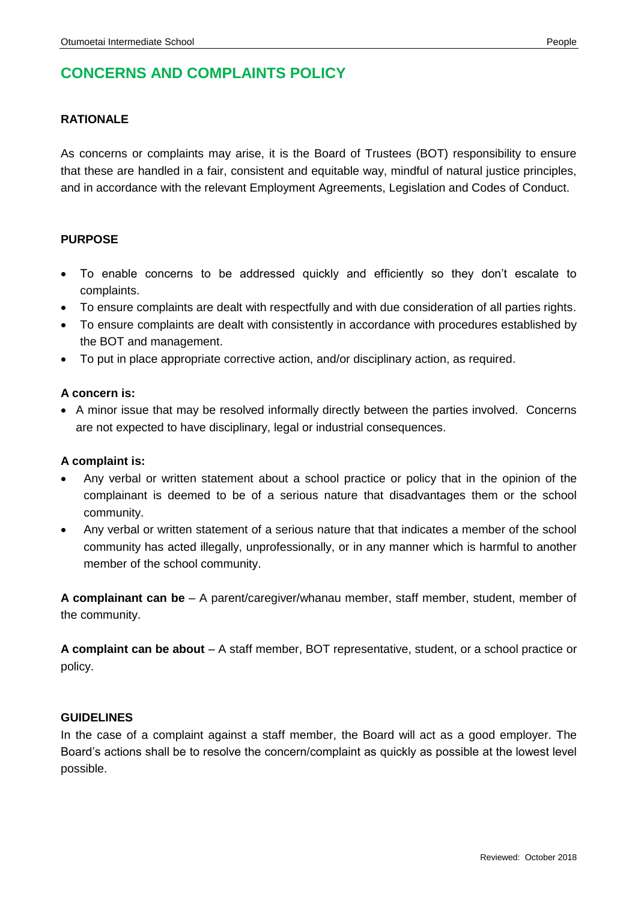# **CONCERNS AND COMPLAINTS POLICY**

#### **RATIONALE**

As concerns or complaints may arise, it is the Board of Trustees (BOT) responsibility to ensure that these are handled in a fair, consistent and equitable way, mindful of natural justice principles, and in accordance with the relevant Employment Agreements, Legislation and Codes of Conduct.

#### **PURPOSE**

- To enable concerns to be addressed quickly and efficiently so they don't escalate to complaints.
- To ensure complaints are dealt with respectfully and with due consideration of all parties rights.
- To ensure complaints are dealt with consistently in accordance with procedures established by the BOT and management.
- To put in place appropriate corrective action, and/or disciplinary action, as required.

#### **A concern is:**

 A minor issue that may be resolved informally directly between the parties involved. Concerns are not expected to have disciplinary, legal or industrial consequences.

#### **A complaint is:**

- Any verbal or written statement about a school practice or policy that in the opinion of the complainant is deemed to be of a serious nature that disadvantages them or the school community.
- Any verbal or written statement of a serious nature that that indicates a member of the school community has acted illegally, unprofessionally, or in any manner which is harmful to another member of the school community.

**A complainant can be** – A parent/caregiver/whanau member, staff member, student, member of the community.

**A complaint can be about** – A staff member, BOT representative, student, or a school practice or policy.

#### **GUIDELINES**

In the case of a complaint against a staff member, the Board will act as a good employer. The Board's actions shall be to resolve the concern/complaint as quickly as possible at the lowest level possible.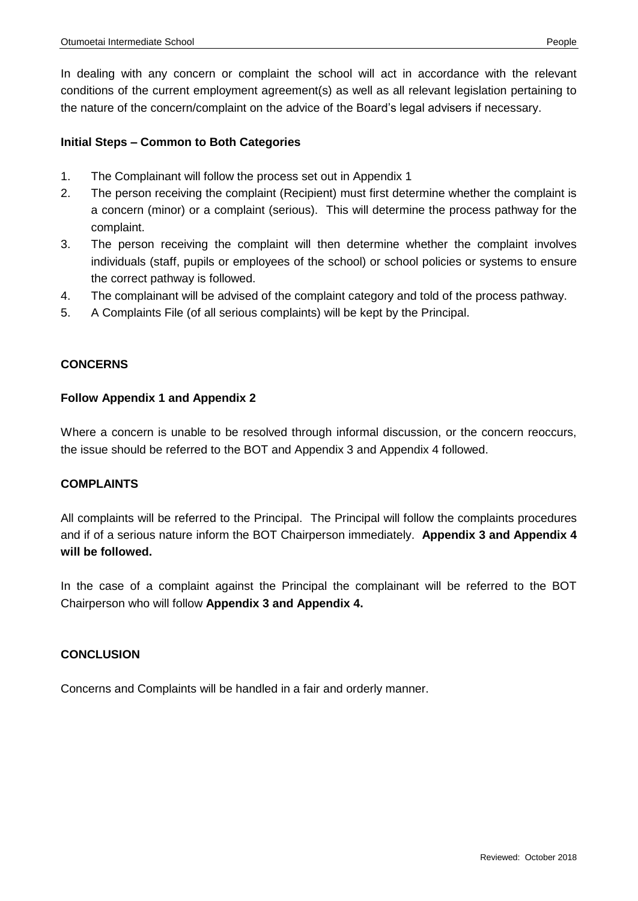In dealing with any concern or complaint the school will act in accordance with the relevant conditions of the current employment agreement(s) as well as all relevant legislation pertaining to the nature of the concern/complaint on the advice of the Board's legal advisers if necessary.

#### **Initial Steps – Common to Both Categories**

- 1. The Complainant will follow the process set out in Appendix 1
- 2. The person receiving the complaint (Recipient) must first determine whether the complaint is a concern (minor) or a complaint (serious). This will determine the process pathway for the complaint.
- 3. The person receiving the complaint will then determine whether the complaint involves individuals (staff, pupils or employees of the school) or school policies or systems to ensure the correct pathway is followed.
- 4. The complainant will be advised of the complaint category and told of the process pathway.
- 5. A Complaints File (of all serious complaints) will be kept by the Principal.

### **CONCERNS**

#### **Follow Appendix 1 and Appendix 2**

Where a concern is unable to be resolved through informal discussion, or the concern reoccurs, the issue should be referred to the BOT and Appendix 3 and Appendix 4 followed.

#### **COMPLAINTS**

All complaints will be referred to the Principal. The Principal will follow the complaints procedures and if of a serious nature inform the BOT Chairperson immediately. **Appendix 3 and Appendix 4 will be followed.**

In the case of a complaint against the Principal the complainant will be referred to the BOT Chairperson who will follow **Appendix 3 and Appendix 4.**

### **CONCLUSION**

Concerns and Complaints will be handled in a fair and orderly manner.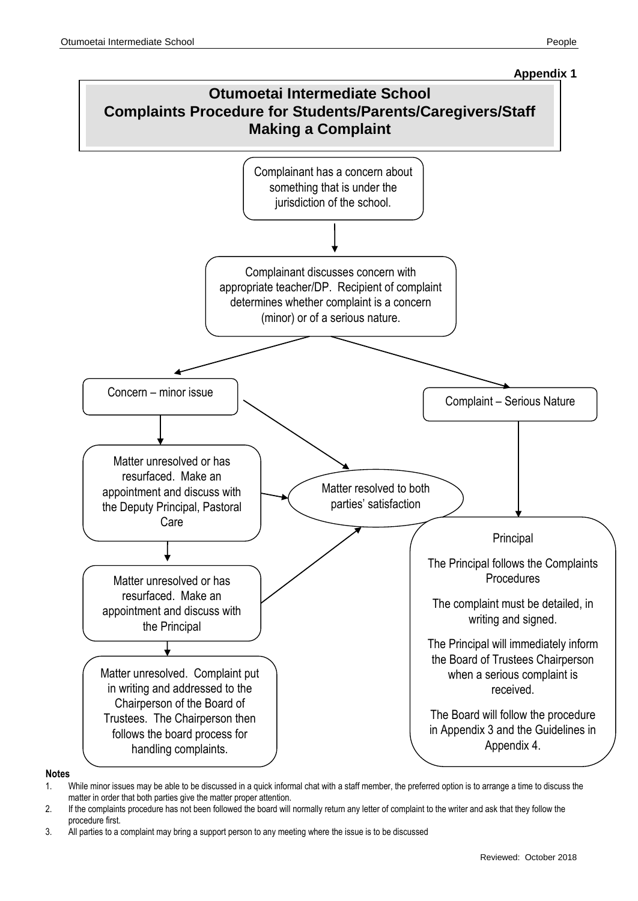

**Notes**

- 1. While minor issues may be able to be discussed in a quick informal chat with a staff member, the preferred option is to arrange a time to discuss the matter in order that both parties give the matter proper attention.
- 2. If the complaints procedure has not been followed the board will normally return any letter of complaint to the writer and ask that they follow the procedure first.
- 3. All parties to a complaint may bring a support person to any meeting where the issue is to be discussed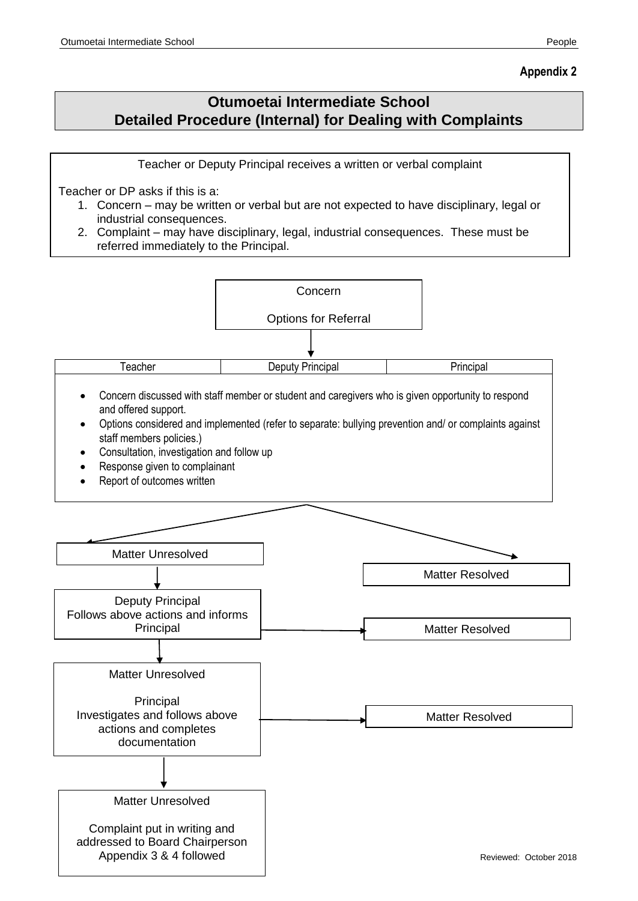### **Otumoetai Intermediate School Detailed Procedure (Internal) for Dealing with Complaints**

Teacher or Deputy Principal receives a written or verbal complaint

Teacher or DP asks if this is a:

- 1. Concern may be written or verbal but are not expected to have disciplinary, legal or industrial consequences.
- 2. Complaint may have disciplinary, legal, industrial consequences. These must be referred immediately to the Principal.

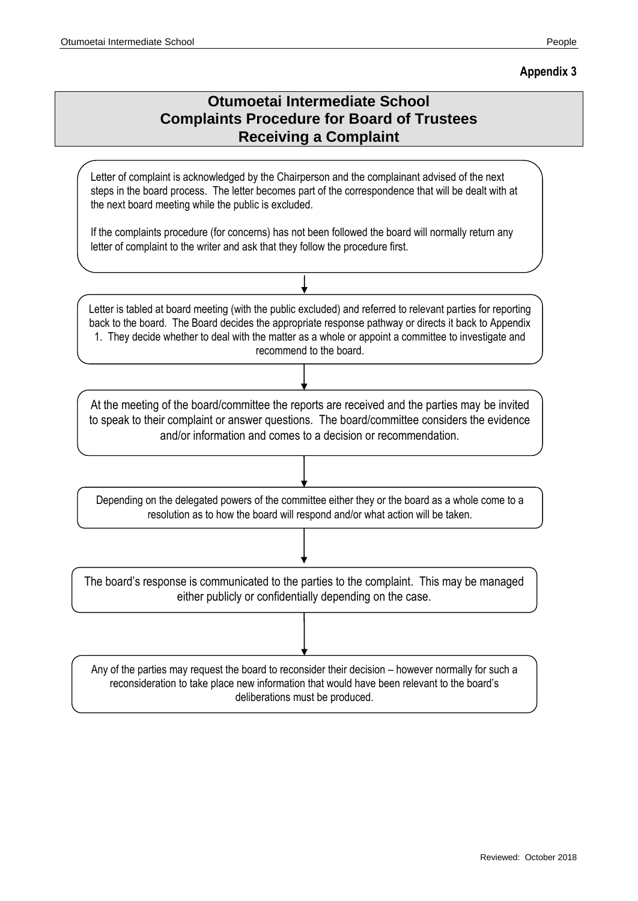#### **Appendix 3**

### **Otumoetai Intermediate School Complaints Procedure for Board of Trustees Receiving a Complaint**

Letter of complaint is acknowledged by the Chairperson and the complainant advised of the next steps in the board process. The letter becomes part of the correspondence that will be dealt with at the next board meeting while the public is excluded.

If the complaints procedure (for concerns) has not been followed the board will normally return any letter of complaint to the writer and ask that they follow the procedure first.

| Letter is tabled at board meeting (with the public excluded) and referred to relevant parties for reporting<br>back to the board. The Board decides the appropriate response pathway or directs it back to Appendix<br>1. They decide whether to deal with the matter as a whole or appoint a committee to investigate and<br>recommend to the board. |
|-------------------------------------------------------------------------------------------------------------------------------------------------------------------------------------------------------------------------------------------------------------------------------------------------------------------------------------------------------|
|                                                                                                                                                                                                                                                                                                                                                       |
| At the meeting of the board/committee the reports are received and the parties may be invited<br>to speak to their complaint or answer questions. The board/committee considers the evidence<br>and/or information and comes to a decision or recommendation.                                                                                         |
|                                                                                                                                                                                                                                                                                                                                                       |

Depending on the delegated powers of the committee either they or the board as a whole come to a resolution as to how the board will respond and/or what action will be taken.

The board's response is communicated to the parties to the complaint. This may be managed either publicly or confidentially depending on the case.

Any of the parties may request the board to reconsider their decision – however normally for such a reconsideration to take place new information that would have been relevant to the board's deliberations must be produced.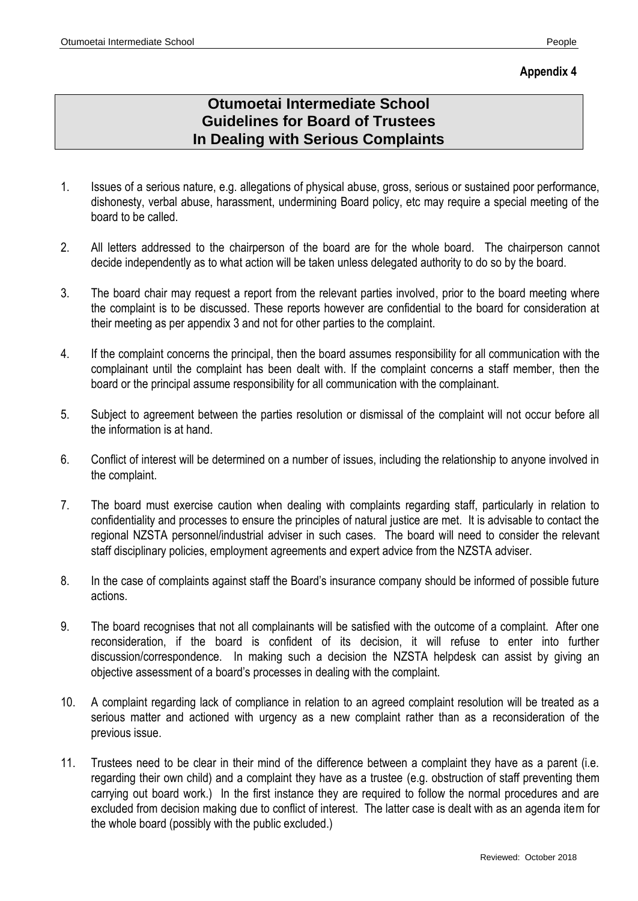### **Appendix 4**

## **Otumoetai Intermediate School Guidelines for Board of Trustees In Dealing with Serious Complaints**

- 1. Issues of a serious nature, e.g. allegations of physical abuse, gross, serious or sustained poor performance, dishonesty, verbal abuse, harassment, undermining Board policy, etc may require a special meeting of the board to be called.
- 2. All letters addressed to the chairperson of the board are for the whole board. The chairperson cannot decide independently as to what action will be taken unless delegated authority to do so by the board.
- 3. The board chair may request a report from the relevant parties involved, prior to the board meeting where the complaint is to be discussed. These reports however are confidential to the board for consideration at their meeting as per appendix 3 and not for other parties to the complaint.
- 4. If the complaint concerns the principal, then the board assumes responsibility for all communication with the complainant until the complaint has been dealt with. If the complaint concerns a staff member, then the board or the principal assume responsibility for all communication with the complainant.
- 5. Subject to agreement between the parties resolution or dismissal of the complaint will not occur before all the information is at hand.
- 6. Conflict of interest will be determined on a number of issues, including the relationship to anyone involved in the complaint.
- 7. The board must exercise caution when dealing with complaints regarding staff, particularly in relation to confidentiality and processes to ensure the principles of natural justice are met. It is advisable to contact the regional NZSTA personnel/industrial adviser in such cases. The board will need to consider the relevant staff disciplinary policies, employment agreements and expert advice from the NZSTA adviser.
- 8. In the case of complaints against staff the Board's insurance company should be informed of possible future actions.
- 9. The board recognises that not all complainants will be satisfied with the outcome of a complaint. After one reconsideration, if the board is confident of its decision, it will refuse to enter into further discussion/correspondence. In making such a decision the NZSTA helpdesk can assist by giving an objective assessment of a board's processes in dealing with the complaint.
- 10. A complaint regarding lack of compliance in relation to an agreed complaint resolution will be treated as a serious matter and actioned with urgency as a new complaint rather than as a reconsideration of the previous issue.
- 11. Trustees need to be clear in their mind of the difference between a complaint they have as a parent (i.e. regarding their own child) and a complaint they have as a trustee (e.g. obstruction of staff preventing them carrying out board work.) In the first instance they are required to follow the normal procedures and are excluded from decision making due to conflict of interest. The latter case is dealt with as an agenda item for the whole board (possibly with the public excluded.)